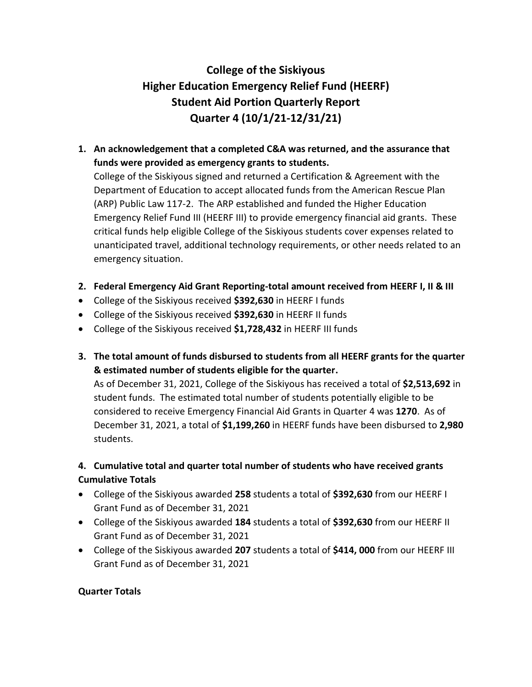# **College of the Siskiyous Higher Education Emergency Relief Fund (HEERF) Student Aid Portion Quarterly Report Quarter 4 (10/1/21-12/31/21)**

# **1. An acknowledgement that a completed C&A was returned, and the assurance that funds were provided as emergency grants to students.**

College of the Siskiyous signed and returned a Certification & Agreement with the Department of Education to accept allocated funds from the American Rescue Plan (ARP) Public Law 117-2. The ARP established and funded the Higher Education Emergency Relief Fund III (HEERF III) to provide emergency financial aid grants. These critical funds help eligible College of the Siskiyous students cover expenses related to unanticipated travel, additional technology requirements, or other needs related to an emergency situation.

- **2. Federal Emergency Aid Grant Reporting-total amount received from HEERF I, II & III**
- College of the Siskiyous received **\$392,630** in HEERF I funds
- College of the Siskiyous received **\$392,630** in HEERF II funds
- College of the Siskiyous received **\$1,728,432** in HEERF III funds
- **3. The total amount of funds disbursed to students from all HEERF grants for the quarter & estimated number of students eligible for the quarter.** As of December 31, 2021, College of the Siskiyous has received a total of **\$2,513,692** in

student funds. The estimated total number of students potentially eligible to be considered to receive Emergency Financial Aid Grants in Quarter 4 was **1270**. As of December 31, 2021, a total of **\$1,199,260** in HEERF funds have been disbursed to **2,980** students.

# **4. Cumulative total and quarter total number of students who have received grants Cumulative Totals**

- College of the Siskiyous awarded **258** students a total of **\$392,630** from our HEERF I Grant Fund as of December 31, 2021
- College of the Siskiyous awarded **184** students a total of **\$392,630** from our HEERF II Grant Fund as of December 31, 2021
- College of the Siskiyous awarded **207** students a total of **\$414, 000** from our HEERF III Grant Fund as of December 31, 2021

#### **Quarter Totals**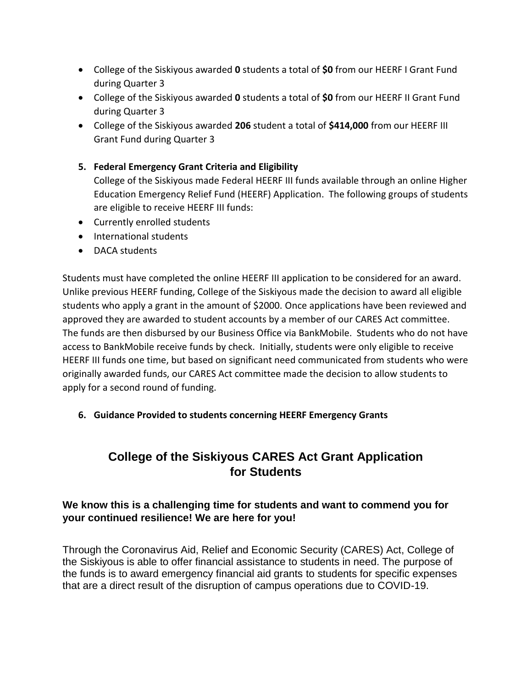- College of the Siskiyous awarded **0** students a total of **\$0** from our HEERF I Grant Fund during Quarter 3
- College of the Siskiyous awarded **0** students a total of **\$0** from our HEERF II Grant Fund during Quarter 3
- College of the Siskiyous awarded **206** student a total of **\$414,000** from our HEERF III Grant Fund during Quarter 3

#### **5. Federal Emergency Grant Criteria and Eligibility**

College of the Siskiyous made Federal HEERF III funds available through an online Higher Education Emergency Relief Fund (HEERF) Application. The following groups of students are eligible to receive HEERF III funds:

- Currently enrolled students
- International students
- DACA students

Students must have completed the online HEERF III application to be considered for an award. Unlike previous HEERF funding, College of the Siskiyous made the decision to award all eligible students who apply a grant in the amount of \$2000. Once applications have been reviewed and approved they are awarded to student accounts by a member of our CARES Act committee. The funds are then disbursed by our Business Office via BankMobile. Students who do not have access to BankMobile receive funds by check. Initially, students were only eligible to receive HEERF III funds one time, but based on significant need communicated from students who were originally awarded funds, our CARES Act committee made the decision to allow students to apply for a second round of funding.

#### **6. Guidance Provided to students concerning HEERF Emergency Grants**

# **College of the Siskiyous CARES Act Grant Application for Students**

# **We know this is a challenging time for students and want to commend you for your continued resilience! We are here for you!**

Through the Coronavirus Aid, Relief and Economic Security (CARES) Act, College of the Siskiyous is able to offer financial assistance to students in need. The purpose of the funds is to award emergency financial aid grants to students for specific expenses that are a direct result of the disruption of campus operations due to COVID-19.